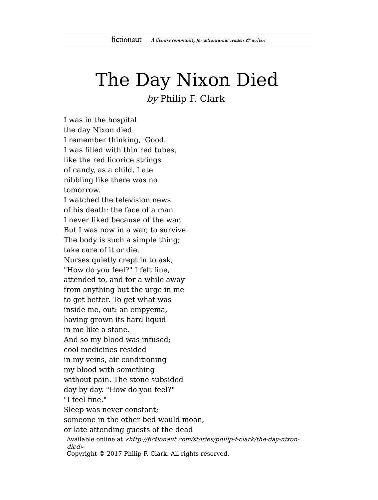## The Day Nixon Died

by Philip F. Clark

I was in the hospital the day Nixon died. I remember thinking, 'Good.' I was filled with thin red tubes, like the red licorice strings of candy, as a child, I ate nibbling like there was no tomorrow. I watched the television news of his death: the face of a man I never liked because of the war. But I was now in a war, to survive. The body is such a simple thing; take care of it or die. Nurses quietly crept in to ask, "How do you feel?" I felt fine, attended to, and for a while away from anything but the urge in me to get better. To get what was inside me, out: an empyema, having grown its hard liquid in me like a stone. And so my blood was infused; cool medicines resided in my veins, air-conditioning my blood with something without pain. The stone subsided day by day. "How do you feel?" "I feel fine." Sleep was never constant; someone in the other bed would moan, or late attending guests of the dead

Available online at «http://fictionaut.com/stories/philip-f-clark/the-day-nixondied» Copyright © 2017 Philip F. Clark. All rights reserved.